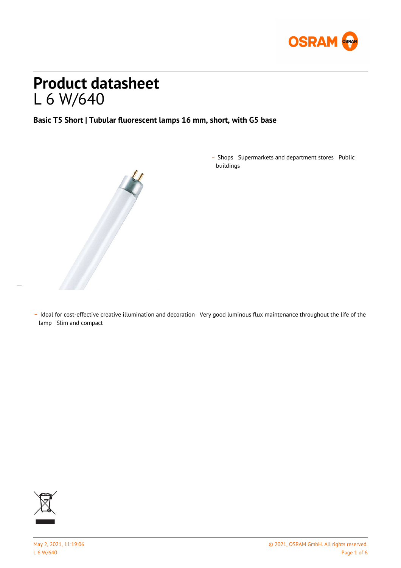

# **Product datasheet** L 6 W/640

**Basic T5 Short | Tubular fluorescent lamps 16 mm, short, with G5 base**



\_ Shops Supermarkets and department stores Public buildings

\_ Ideal for cost-effective creative illumination and decoration Very good luminous flux maintenance throughout the life of the lamp Slim and compact



 $\overline{a}$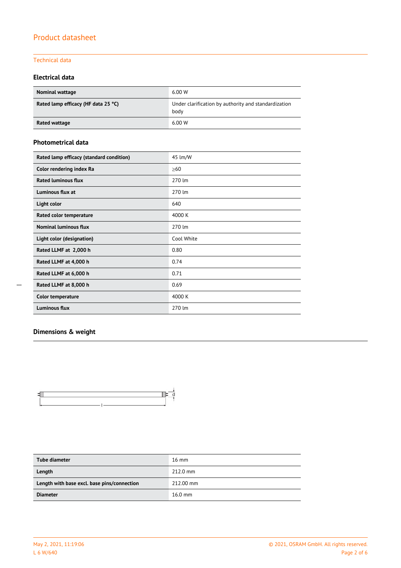### Technical data

### **Electrical data**

| <b>Nominal wattage</b>              | 6.00 W                                                       |
|-------------------------------------|--------------------------------------------------------------|
| Rated lamp efficacy (HF data 25 °C) | Under clarification by authority and standardization<br>body |
| Rated wattage                       | 6.00W                                                        |

#### **Photometrical data**

| Rated lamp efficacy (standard condition) | 45 lm/W    |  |  |  |
|------------------------------------------|------------|--|--|--|
| Color rendering index Ra                 | $\geq 60$  |  |  |  |
| <b>Rated luminous flux</b>               | 270 lm     |  |  |  |
| Luminous flux at                         | 270 lm     |  |  |  |
| Light color                              | 640        |  |  |  |
| Rated color temperature                  | 4000 K     |  |  |  |
| <b>Nominal luminous flux</b>             | 270 lm     |  |  |  |
| Light color (designation)                | Cool White |  |  |  |
| Rated LLMF at 2,000 h                    | 0.80       |  |  |  |
| Rated LLMF at 4,000 h                    | 0.74       |  |  |  |
| Rated LLMF at 6,000 h                    | 0.71       |  |  |  |
| Rated LLMF at 8,000 h                    | 0.69       |  |  |  |
| <b>Color temperature</b>                 | 4000 K     |  |  |  |
| <b>Luminous flux</b>                     | 270 lm     |  |  |  |

### **Dimensions & weight**



| Tube diameter                               | $16 \text{ mm}$    |
|---------------------------------------------|--------------------|
| Length                                      | $212.0 \text{ mm}$ |
| Length with base excl. base pins/connection | 212.00 mm          |
| <b>Diameter</b>                             | $16.0$ mm          |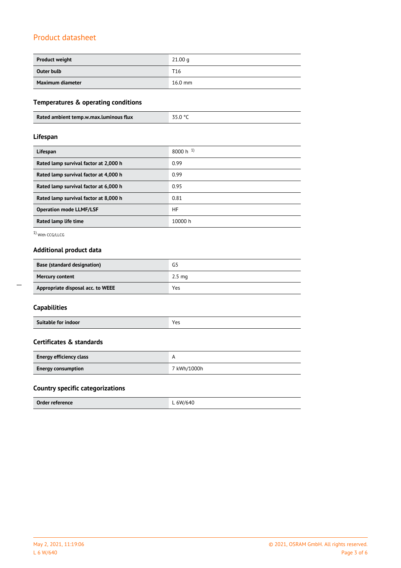| <b>Product weight</b> | 21.00 <sub>q</sub> |
|-----------------------|--------------------|
| Outer bulb            | T <sub>16</sub>    |
| Maximum diameter      | $16.0$ mm          |

### **Temperatures & operating conditions**

| Rated ambient temp.w.max.luminous flux |  |
|----------------------------------------|--|
|                                        |  |

### **Lifespan**

| Lifespan                              | $8000 h$ <sup>1)</sup> |
|---------------------------------------|------------------------|
| Rated lamp survival factor at 2,000 h | 0.99                   |
| Rated lamp survival factor at 4,000 h | 0.99                   |
| Rated lamp survival factor at 6,000 h | 0.95                   |
| Rated lamp survival factor at 8,000 h | 0.81                   |
| <b>Operation mode LLMF/LSF</b>        | HF                     |
| Rated lamp life time                  | 10000 h                |

1) With CCG/LLCG

### **Additional product data**

| <b>Base (standard designation)</b> | G5               |
|------------------------------------|------------------|
| <b>Mercury content</b>             | $2.5 \text{ mg}$ |
| Appropriate disposal acc. to WEEE  | Yes              |

| Suitable for indoor | Voc<br>. |
|---------------------|----------|
|---------------------|----------|

### **Certificates & standards**

| <b>Energy efficiency class</b> |             |
|--------------------------------|-------------|
| <b>Energy consumption</b>      | 7 kWh/1000h |

### **Country specific categorizations**

| Order reference | 611/640 |
|-----------------|---------|
|                 |         |

 $\overline{a}$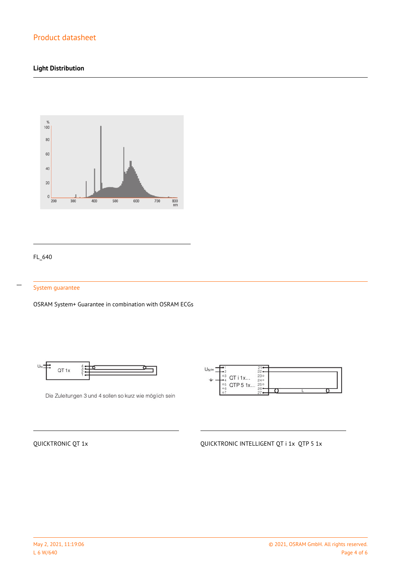### **Light Distribution**



### FL\_640

 $\overline{a}$ 

#### System guarantee

OSRAM System+ Guarantee in combination with OSRAM ECGs



Die Zuleitungen 3 und 4 sollen so kurz wie möglich sein



### QUICKTRONIC QT 1x **QUICKTRONIC INTELLIGENT QT i 1x QTP 5 1x**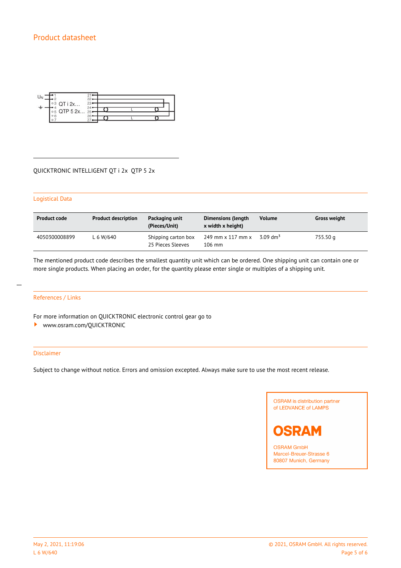

#### QUICKTRONIC INTELLIGENT QT i 2x QTP 5 2x

#### Logistical Data

| <b>Product code</b> | <b>Product description</b> | Packaging unit<br>(Pieces/Unit)          | <b>Dimensions (length</b><br>x width x height) | <b>Volume</b>          | <b>Gross weight</b> |
|---------------------|----------------------------|------------------------------------------|------------------------------------------------|------------------------|---------------------|
| 4050300008899       | L 6 W/640                  | Shipping carton box<br>25 Pieces Sleeves | 249 mm x 117 mm x<br>$106$ mm                  | $3.09$ dm <sup>3</sup> | 755.50 g            |

The mentioned product code describes the smallest quantity unit which can be ordered. One shipping unit can contain one or more single products. When placing an order, for the quantity please enter single or multiples of a shipping unit.

#### References / Links

For more information on QUICKTRONIC electronic control gear go to

<www.osram.com/QUICKTRONIC>

#### Disclaimer

Subject to change without notice. Errors and omission excepted. Always make sure to use the most recent release.





**OSRAM GmbH** Marcel-Breuer-Strasse 6 80807 Munich, Germany